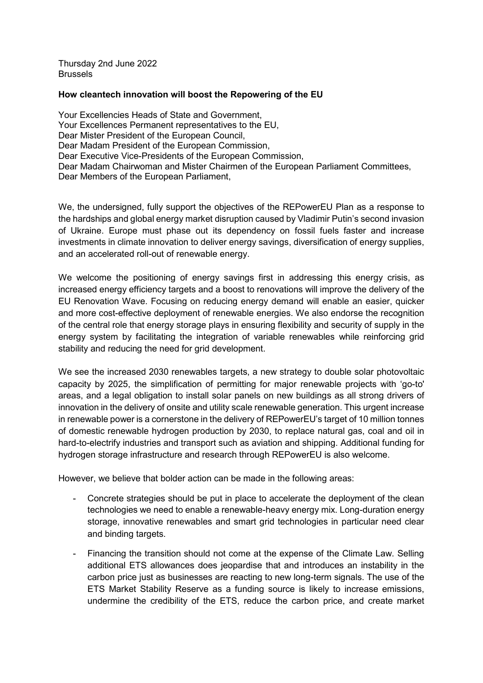Thursday 2nd June 2022 **Brussels** 

#### **How cleantech innovation will boost the Repowering of the EU**

Your Excellencies Heads of State and Government, Your Excellences Permanent representatives to the EU, Dear Mister President of the European Council, Dear Madam President of the European Commission, Dear Executive Vice-Presidents of the European Commission, Dear Madam Chairwoman and Mister Chairmen of the European Parliament Committees, Dear Members of the European Parliament,

We, the undersigned, fully support the objectives of the REPowerEU Plan as a response to the hardships and global energy market disruption caused by Vladimir Putin's second invasion of Ukraine. Europe must phase out its dependency on fossil fuels faster and increase investments in climate innovation to deliver energy savings, diversification of energy supplies, and an accelerated roll-out of renewable energy.

We welcome the positioning of energy savings first in addressing this energy crisis, as increased energy efficiency targets and a boost to renovations will improve the delivery of the EU Renovation Wave. Focusing on reducing energy demand will enable an easier, quicker and more cost-effective deployment of renewable energies. We also endorse the recognition of the central role that energy storage plays in ensuring flexibility and security of supply in the energy system by facilitating the integration of variable renewables while reinforcing grid stability and reducing the need for grid development.

We see the increased 2030 renewables targets, a new strategy to double solar photovoltaic capacity by 2025, the simplification of permitting for major renewable projects with 'go-to' areas, and a legal obligation to install solar panels on new buildings as all strong drivers of innovation in the delivery of onsite and utility scale renewable generation. This urgent increase in renewable power is a cornerstone in the delivery of REPowerEU's target of 10 million tonnes of domestic renewable hydrogen production by 2030, to replace natural gas, coal and oil in hard-to-electrify industries and transport such as aviation and shipping. Additional funding for hydrogen storage infrastructure and research through REPowerEU is also welcome.

However, we believe that bolder action can be made in the following areas:

- Concrete strategies should be put in place to accelerate the deployment of the clean technologies we need to enable a renewable-heavy energy mix. Long-duration energy storage, innovative renewables and smart grid technologies in particular need clear and binding targets.
- Financing the transition should not come at the expense of the Climate Law. Selling additional ETS allowances does jeopardise that and introduces an instability in the carbon price just as businesses are reacting to new long-term signals. The use of the ETS Market Stability Reserve as a funding source is likely to increase emissions, undermine the credibility of the ETS, reduce the carbon price, and create market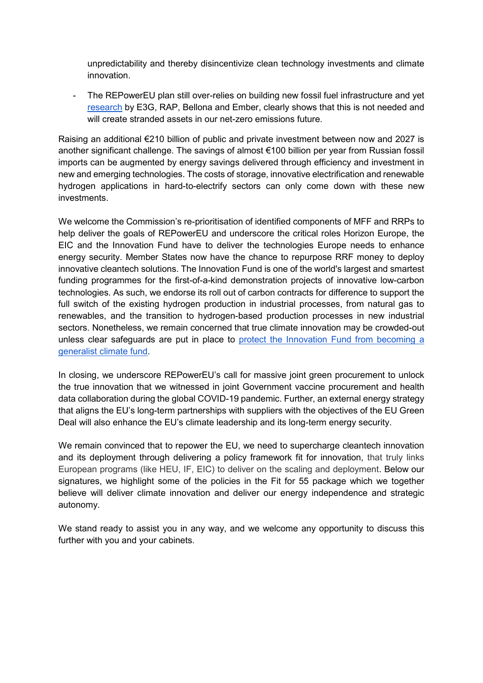unpredictability and thereby disincentivize clean technology investments and climate innovation.

- The REPowerEU plan still over-relies on building new fossil fuel infrastructure and yet [research](https://9tj4025ol53byww26jdkao0x-wpengine.netdna-ssl.com/wp-content/uploads/Briefing_EU-can-stop-Russian-gas-imports-by-2025.pdf) by E3G, RAP, Bellona and Ember, clearly shows that this is not needed and will create stranded assets in our net-zero emissions future.

Raising an additional €210 billion of public and private investment between now and 2027 is another significant challenge. The savings of almost €100 billion per year from Russian fossil imports can be augmented by energy savings delivered through efficiency and investment in new and emerging technologies. The costs of storage, innovative electrification and renewable hydrogen applications in hard-to-electrify sectors can only come down with these new investments.

We welcome the Commission's re-prioritisation of identified components of MFF and RRPs to help deliver the goals of REPowerEU and underscore the critical roles Horizon Europe, the EIC and the Innovation Fund have to deliver the technologies Europe needs to enhance energy security. Member States now have the chance to repurpose RRF money to deploy innovative cleantech solutions. The Innovation Fund is one of the world's largest and smartest funding programmes for the first-of-a-kind demonstration projects of innovative low-carbon technologies. As such, we endorse its roll out of carbon contracts for difference to support the full switch of the existing hydrogen production in industrial processes, from natural gas to renewables, and the transition to hydrogen-based production processes in new industrial sectors. Nonetheless, we remain concerned that true climate innovation may be crowded-out unless clear safeguards are put in place to protect the Innovation Fund from becoming a [generalist climate fund.](https://sciencebusiness.net/viewpoint/viewpoint-environment-committee-wrong-call-time-innovation-fund)

In closing, we underscore REPowerEU's call for massive joint green procurement to unlock the true innovation that we witnessed in joint Government vaccine procurement and health data collaboration during the global COVID-19 pandemic. Further, an external energy strategy that aligns the EU's long-term partnerships with suppliers with the objectives of the EU Green Deal will also enhance the EU's climate leadership and its long-term energy security.

We remain convinced that to repower the EU, we need to supercharge cleantech innovation and its deployment through delivering a policy framework fit for innovation, that truly links European programs (like HEU, IF, EIC) to deliver on the scaling and deployment. Below our signatures, we highlight some of the policies in the Fit for 55 package which we together believe will deliver climate innovation and deliver our energy independence and strategic autonomy.

We stand ready to assist you in any way, and we welcome any opportunity to discuss this further with you and your cabinets.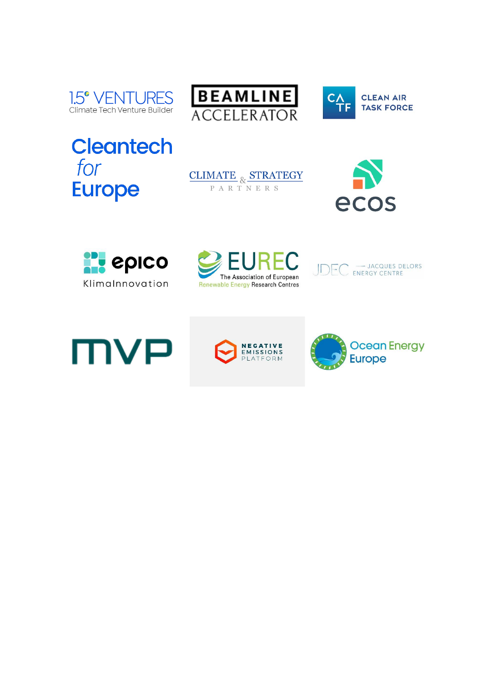





**Cleantech** for **Europe** 















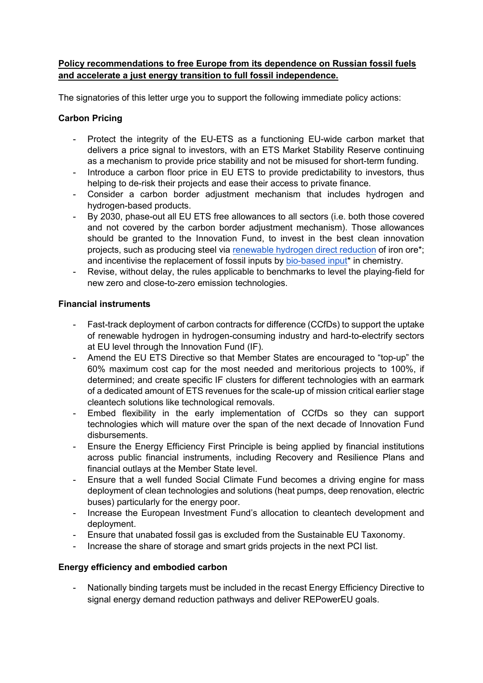### **Policy recommendations to free Europe from its dependence on Russian fossil fuels and accelerate a just energy transition to full fossil independence.**

The signatories of this letter urge you to support the following immediate policy actions:

# **Carbon Pricing**

- Protect the integrity of the EU-ETS as a functioning EU-wide carbon market that delivers a price signal to investors, with an ETS Market Stability Reserve continuing as a mechanism to provide price stability and not be misused for short-term funding.
- Introduce a carbon floor price in EU ETS to provide predictability to investors, thus helping to de-risk their projects and ease their access to private finance.
- Consider a carbon border adjustment mechanism that includes hydrogen and hydrogen-based products.
- By 2030, phase-out all EU ETS free allowances to all sectors (i.e. both those covered and not covered by the carbon border adjustment mechanism). Those allowances should be granted to the Innovation Fund, to invest in the best clean innovation projects, such as producing steel vi[a](https://nam12.safelinks.protection.outlook.com/?url=https%3A%2F%2Fwww.h2greensteel.com%2F&data=04%7C01%7Cjulia.reinaud%40breakthroughenergy.org%7C2de5d360a272479945fe08da0c9fd8d5%7C16940056037441ee918a557632270fe9%7C0%7C0%7C637836177923305618%7CUnknown%7CTWFpbGZsb3d8eyJWIjoiMC4wLjAwMDAiLCJQIjoiV2luMzIiLCJBTiI6Ik1haWwiLCJXVCI6Mn0%3D%7C3000&sdata=bSJl1sxKmsZR6SgYdSBfs58GPwt%2BLmg958Tb%2F%2Fy8lrg%3D&reserved=0) [renewable hydrogen direct reduction](https://nam12.safelinks.protection.outlook.com/?url=https%3A%2F%2Fwww.h2greensteel.com%2F&data=04%7C01%7Cjulia.reinaud%40breakthroughenergy.org%7C2de5d360a272479945fe08da0c9fd8d5%7C16940056037441ee918a557632270fe9%7C0%7C0%7C637836177923305618%7CUnknown%7CTWFpbGZsb3d8eyJWIjoiMC4wLjAwMDAiLCJQIjoiV2luMzIiLCJBTiI6Ik1haWwiLCJXVCI6Mn0%3D%7C3000&sdata=bSJl1sxKmsZR6SgYdSBfs58GPwt%2BLmg958Tb%2F%2Fy8lrg%3D&reserved=0) of iron ore\*; and incentivise the replacement of fossil inputs b[y](https://nam12.safelinks.protection.outlook.com/?url=https%3A%2F%2Fafyren.com%2Fen%2F&data=04%7C01%7Cjulia.reinaud%40breakthroughenergy.org%7C2de5d360a272479945fe08da0c9fd8d5%7C16940056037441ee918a557632270fe9%7C0%7C0%7C637836177923305618%7CUnknown%7CTWFpbGZsb3d8eyJWIjoiMC4wLjAwMDAiLCJQIjoiV2luMzIiLCJBTiI6Ik1haWwiLCJXVCI6Mn0%3D%7C3000&sdata=RmNLU9p%2BEtARzGIIJjOLJMTqnbKNxZxApA2g%2FFplPv0%3D&reserved=0) [bio-based input\\*](https://nam12.safelinks.protection.outlook.com/?url=https%3A%2F%2Fafyren.com%2Fen%2F&data=04%7C01%7Cjulia.reinaud%40breakthroughenergy.org%7C2de5d360a272479945fe08da0c9fd8d5%7C16940056037441ee918a557632270fe9%7C0%7C0%7C637836177923305618%7CUnknown%7CTWFpbGZsb3d8eyJWIjoiMC4wLjAwMDAiLCJQIjoiV2luMzIiLCJBTiI6Ik1haWwiLCJXVCI6Mn0%3D%7C3000&sdata=RmNLU9p%2BEtARzGIIJjOLJMTqnbKNxZxApA2g%2FFplPv0%3D&reserved=0) in chemistry.
- Revise, without delay, the rules applicable to benchmarks to level the playing-field for new zero and close-to-zero emission technologies.

### **Financial instruments**

- Fast-track deployment of carbon contracts for difference (CCfDs) to support the uptake of renewable hydrogen in hydrogen-consuming industry and hard-to-electrify sectors at EU level through the Innovation Fund (IF).
- Amend the EU ETS Directive so that Member States are encouraged to "top-up" the 60% maximum cost cap for the most needed and meritorious projects to 100%, if determined; and create specific IF clusters for different technologies with an earmark of a dedicated amount of ETS revenues for the scale-up of mission critical earlier stage cleantech solutions like technological removals.
- Embed flexibility in the early implementation of CCfDs so they can support technologies which will mature over the span of the next decade of Innovation Fund disbursements.
- Ensure the Energy Efficiency First Principle is being applied by financial institutions across public financial instruments, including Recovery and Resilience Plans and financial outlays at the Member State level.
- Ensure that a well funded Social Climate Fund becomes a driving engine for mass deployment of clean technologies and solutions (heat pumps, deep renovation, electric buses) particularly for the energy poor.
- Increase the European Investment Fund's allocation to cleantech development and deployment.
- Ensure that unabated fossil gas is excluded from the Sustainable EU Taxonomy.
- Increase the share of storage and smart grids projects in the next PCI list.

## **Energy efficiency and embodied carbon**

- Nationally binding targets must be included in the recast Energy Efficiency Directive to signal energy demand reduction pathways and deliver REPowerEU goals.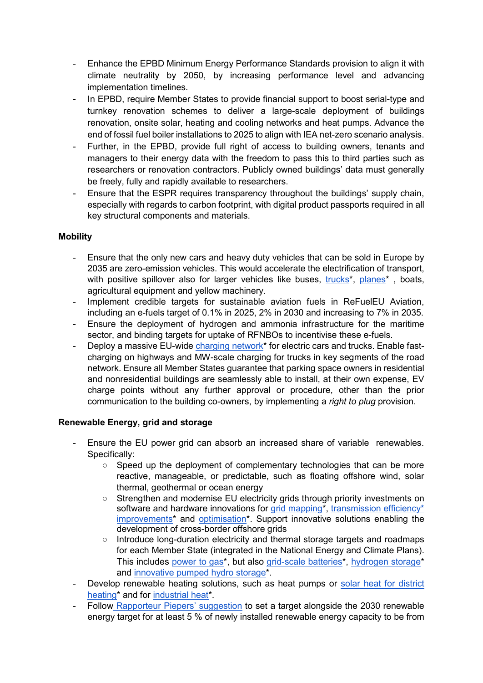- Enhance the EPBD Minimum Energy Performance Standards provision to align it with climate neutrality by 2050, by increasing performance level and advancing implementation timelines.
- In EPBD, require Member States to provide financial support to boost serial-type and turnkey renovation schemes to deliver a large-scale deployment of buildings renovation, onsite solar, heating and cooling networks and heat pumps. Advance the end of fossil fuel boiler installations to 2025 to align with IEA net-zero scenario analysis.
- Further, in the EPBD, provide full right of access to building owners, tenants and managers to their energy data with the freedom to pass this to third parties such as researchers or renovation contractors. Publicly owned buildings' data must generally be freely, fully and rapidly available to researchers.
- Ensure that the ESPR requires transparency throughout the buildings' supply chain, especially with regards to carbon footprint, with digital product passports required in all key structural components and materials.

### **Mobility**

- Ensure that the only new cars and heavy duty vehicles that can be sold in Europe by 2035 are zero-emission vehicles. This would accelerate the electrification of transport, with positive spillover also for larger vehicles like buses[,](https://nam12.safelinks.protection.outlook.com/?url=https%3A%2F%2Fheartaerospace.com%2F&data=04%7C01%7Cjulia.reinaud%40breakthroughenergy.org%7C2de5d360a272479945fe08da0c9fd8d5%7C16940056037441ee918a557632270fe9%7C0%7C0%7C637836177923305618%7CUnknown%7CTWFpbGZsb3d8eyJWIjoiMC4wLjAwMDAiLCJQIjoiV2luMzIiLCJBTiI6Ik1haWwiLCJXVCI6Mn0%3D%7C3000&sdata=Sfq1cNBx1PMwYK5djkY6%2BtQbXV3t%2Btj7UbrVKQEVvYc%3D&reserved=0) trucks<sup>\*</sup>, planes<sup>\*</sup>, boats, agricultural equipment and yellow machinery.
- Implement credible targets for sustainable aviation fuels in ReFuelEU Aviation, including an e-fuels target of 0.1% in 2025, 2% in 2030 and increasing to 7% in 2035.
- Ensure the deployment of hydrogen and ammonia infrastructure for the maritime sector, and binding targets for uptake of RFNBOs to incentivise these e-fuels.
- Deploy a massive EU-wide charging network<sup>\*</sup> for electric cars and trucks. Enable fastcharging on highways and MW-scale charging for trucks in key segments of the road network. Ensure all Member States guarantee that parking space owners in residential and nonresidential buildings are seamlessly able to install, at their own expense, EV charge points without any further approval or procedure, other than the prior communication to the building co-owners, by implementing a *right to plug* provision.

## **Renewable Energy, grid and storage**

- Ensure the EU power grid can absorb an increased share of variable renewables. Specifically:
	- Speed up the deployment of complementary technologies that can be more reactive, manageable, or predictable, such as floating offshore wind, solar thermal, geothermal or ocean energy
	- Strengthen and modernise EU electricity grids through priority investments on softwa[r](https://nam12.safelinks.protection.outlook.com/?url=https%3A%2F%2Flive-eo.com%2F&data=04%7C01%7Cjulia.reinaud%40breakthroughenergy.org%7C2de5d360a272479945fe08da0c9fd8d5%7C16940056037441ee918a557632270fe9%7C0%7C0%7C637836177923461856%7CUnknown%7CTWFpbGZsb3d8eyJWIjoiMC4wLjAwMDAiLCJQIjoiV2luMzIiLCJBTiI6Ik1haWwiLCJXVCI6Mn0%3D%7C3000&sdata=V9ziMFApzBsHV9M8278JvHDspGkgyPkmWVP2ANLiqDs%3D&reserved=0)e and hardware innovations for [grid mapping\\*](https://nam12.safelinks.protection.outlook.com/?url=https%3A%2F%2Flive-eo.com%2F&data=04%7C01%7Cjulia.reinaud%40breakthroughenergy.org%7C2de5d360a272479945fe08da0c9fd8d5%7C16940056037441ee918a557632270fe9%7C0%7C0%7C637836177923461856%7CUnknown%7CTWFpbGZsb3d8eyJWIjoiMC4wLjAwMDAiLCJQIjoiV2luMzIiLCJBTiI6Ik1haWwiLCJXVCI6Mn0%3D%7C3000&sdata=V9ziMFApzBsHV9M8278JvHDspGkgyPkmWVP2ANLiqDs%3D&reserved=0), transmission efficiency\* [improvements\\*](https://veir.com/) an[d](https://nam12.safelinks.protection.outlook.com/?url=https%3A%2F%2Fenvelio.com%2Fde%2F&data=04%7C01%7Cjulia.reinaud%40breakthroughenergy.org%7C2de5d360a272479945fe08da0c9fd8d5%7C16940056037441ee918a557632270fe9%7C0%7C0%7C637836177923461856%7CUnknown%7CTWFpbGZsb3d8eyJWIjoiMC4wLjAwMDAiLCJQIjoiV2luMzIiLCJBTiI6Ik1haWwiLCJXVCI6Mn0%3D%7C3000&sdata=Mz4gxHKSGgb9po%2F06GyGNXmkUPRtkEyZNZ12GDyOfhc%3D&reserved=0) [optimisation\\*](https://nam12.safelinks.protection.outlook.com/?url=https%3A%2F%2Fenvelio.com%2Fde%2F&data=04%7C01%7Cjulia.reinaud%40breakthroughenergy.org%7C2de5d360a272479945fe08da0c9fd8d5%7C16940056037441ee918a557632270fe9%7C0%7C0%7C637836177923461856%7CUnknown%7CTWFpbGZsb3d8eyJWIjoiMC4wLjAwMDAiLCJQIjoiV2luMzIiLCJBTiI6Ik1haWwiLCJXVCI6Mn0%3D%7C3000&sdata=Mz4gxHKSGgb9po%2F06GyGNXmkUPRtkEyZNZ12GDyOfhc%3D&reserved=0). Support innovative solutions enabling the development of cross-border offshore grids
	- Introduce long-duration electricity and thermal storage targets and roadmaps for each Member State (integrated in the National Energy and Climate Plans). This include[s](https://nam12.safelinks.protection.outlook.com/?url=https%3A%2F%2Fwww.electrochaea.com%2F&data=04%7C01%7Cjulia.reinaud%40breakthroughenergy.org%7C2de5d360a272479945fe08da0c9fd8d5%7C16940056037441ee918a557632270fe9%7C0%7C0%7C637836177923305618%7CUnknown%7CTWFpbGZsb3d8eyJWIjoiMC4wLjAwMDAiLCJQIjoiV2luMzIiLCJBTiI6Ik1haWwiLCJXVCI6Mn0%3D%7C3000&sdata=KcEab7fH%2FS61qMC%2BgQTytbf7cEJf2vNVI1uiJWQFaJ8%3D&reserved=0) [power to gas\\*](https://nam12.safelinks.protection.outlook.com/?url=https%3A%2F%2Fwww.electrochaea.com%2F&data=04%7C01%7Cjulia.reinaud%40breakthroughenergy.org%7C2de5d360a272479945fe08da0c9fd8d5%7C16940056037441ee918a557632270fe9%7C0%7C0%7C637836177923305618%7CUnknown%7CTWFpbGZsb3d8eyJWIjoiMC4wLjAwMDAiLCJQIjoiV2luMzIiLCJBTiI6Ik1haWwiLCJXVCI6Mn0%3D%7C3000&sdata=KcEab7fH%2FS61qMC%2BgQTytbf7cEJf2vNVI1uiJWQFaJ8%3D&reserved=0), but als[o](https://nam12.safelinks.protection.outlook.com/?url=https%3A%2F%2Fwww.elestor.nl%2F&data=04%7C01%7Cjulia.reinaud%40breakthroughenergy.org%7C2de5d360a272479945fe08da0c9fd8d5%7C16940056037441ee918a557632270fe9%7C0%7C0%7C637836177923461856%7CUnknown%7CTWFpbGZsb3d8eyJWIjoiMC4wLjAwMDAiLCJQIjoiV2luMzIiLCJBTiI6Ik1haWwiLCJXVCI6Mn0%3D%7C3000&sdata=IWjUt%2BRZO%2FlsOiwrlYPjS%2FzgkalSAdOcFY95%2B%2Baux8Q%3D&reserved=0) [grid-scale batteries\\*](https://nam12.safelinks.protection.outlook.com/?url=https%3A%2F%2Fwww.elestor.nl%2F&data=04%7C01%7Cjulia.reinaud%40breakthroughenergy.org%7C2de5d360a272479945fe08da0c9fd8d5%7C16940056037441ee918a557632270fe9%7C0%7C0%7C637836177923461856%7CUnknown%7CTWFpbGZsb3d8eyJWIjoiMC4wLjAwMDAiLCJQIjoiV2luMzIiLCJBTiI6Ik1haWwiLCJXVCI6Mn0%3D%7C3000&sdata=IWjUt%2BRZO%2FlsOiwrlYPjS%2FzgkalSAdOcFY95%2B%2Baux8Q%3D&reserved=0), [hydrogen storage\\*](https://nam12.safelinks.protection.outlook.com/?url=https%3A%2F%2Fwww.homepowersolutions.de%2Fen%2F&data=04%7C01%7Cjulia.reinaud%40breakthroughenergy.org%7C2de5d360a272479945fe08da0c9fd8d5%7C16940056037441ee918a557632270fe9%7C0%7C0%7C637836177923461856%7CUnknown%7CTWFpbGZsb3d8eyJWIjoiMC4wLjAwMDAiLCJQIjoiV2luMzIiLCJBTiI6Ik1haWwiLCJXVCI6Mn0%3D%7C3000&sdata=lOuqd%2F8%2BmVI5IwRt3IG9FHgXBdgQJHi%2BclJIWNhx7%2B4%3D&reserved=0) and [innovative pumped hydro storage\\*](https://www.minestorage.com/).
- Develop renewable heating solutions, such as heat pumps or [solar heat for district](https://nam12.safelinks.protection.outlook.com/?url=https%3A%2F%2Fnewheat.com%2Fen%2F&data=04%7C01%7Cjulia.reinaud%40breakthroughenergy.org%7C2de5d360a272479945fe08da0c9fd8d5%7C16940056037441ee918a557632270fe9%7C0%7C0%7C637836177923305618%7CUnknown%7CTWFpbGZsb3d8eyJWIjoiMC4wLjAwMDAiLCJQIjoiV2luMzIiLCJBTiI6Ik1haWwiLCJXVCI6Mn0%3D%7C3000&sdata=yDNcmWmonRmsVG3irwbE78xa8Yqu%2FRBXGOjtps50Vww%3D&reserved=0)  [heating\\*](https://nam12.safelinks.protection.outlook.com/?url=https%3A%2F%2Fnewheat.com%2Fen%2F&data=04%7C01%7Cjulia.reinaud%40breakthroughenergy.org%7C2de5d360a272479945fe08da0c9fd8d5%7C16940056037441ee918a557632270fe9%7C0%7C0%7C637836177923305618%7CUnknown%7CTWFpbGZsb3d8eyJWIjoiMC4wLjAwMDAiLCJQIjoiV2luMzIiLCJBTiI6Ik1haWwiLCJXVCI6Mn0%3D%7C3000&sdata=yDNcmWmonRmsVG3irwbE78xa8Yqu%2FRBXGOjtps50Vww%3D&reserved=0) and for [industrial heat\\*](https://www.heliac.dk/).
- Follow [Rapporteur Piepers' suggestion](https://www.europarl.europa.eu/doceo/document/ITRE-PR-719550_EN.pdf#page=25) to set a target alongside the 2030 renewable energy target for at least 5 % of newly installed renewable energy capacity to be from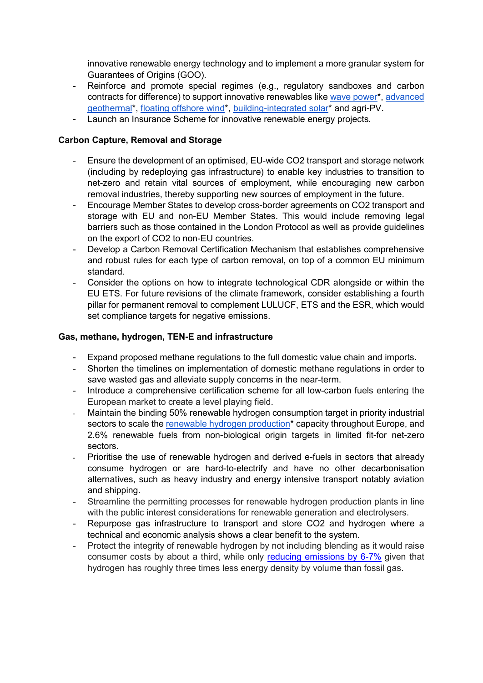innovative renewable energy technology and to implement a more granular system for Guarantees of Origins (GOO).

- Reinforce and promote special regimes (e.g., regulatory sandboxes and carbon contracts for difference) to support innovative renewables like [wave power\\*](https://nam12.safelinks.protection.outlook.com/?url=https%3A%2F%2Fwww.corpowerocean.com%2F&data=04%7C01%7Cjulia.reinaud%40breakthroughenergy.org%7C2de5d360a272479945fe08da0c9fd8d5%7C16940056037441ee918a557632270fe9%7C0%7C0%7C637836177923305618%7CUnknown%7CTWFpbGZsb3d8eyJWIjoiMC4wLjAwMDAiLCJQIjoiV2luMzIiLCJBTiI6Ik1haWwiLCJXVCI6Mn0%3D%7C3000&sdata=Khx6ggUEUpFHxmmN0ID6Ukjw8wsdCIMdjw7Fx3QI9To%3D&reserved=0), [advanced](https://nam12.safelinks.protection.outlook.com/?url=https%3A%2F%2Fi3connect.com%2Fcompany%2Fbaseload-capital&data=04%7C01%7Cjulia.reinaud%40breakthroughenergy.org%7C2de5d360a272479945fe08da0c9fd8d5%7C16940056037441ee918a557632270fe9%7C0%7C0%7C637836177923305618%7CUnknown%7CTWFpbGZsb3d8eyJWIjoiMC4wLjAwMDAiLCJQIjoiV2luMzIiLCJBTiI6Ik1haWwiLCJXVCI6Mn0%3D%7C3000&sdata=h2IwQQRhbws9lNkq06b%2BVvtb1WQG73X3Rit4y%2FZEUk0%3D&reserved=0)  [geothermal\\*](https://nam12.safelinks.protection.outlook.com/?url=https%3A%2F%2Fi3connect.com%2Fcompany%2Fbaseload-capital&data=04%7C01%7Cjulia.reinaud%40breakthroughenergy.org%7C2de5d360a272479945fe08da0c9fd8d5%7C16940056037441ee918a557632270fe9%7C0%7C0%7C637836177923305618%7CUnknown%7CTWFpbGZsb3d8eyJWIjoiMC4wLjAwMDAiLCJQIjoiV2luMzIiLCJBTiI6Ik1haWwiLCJXVCI6Mn0%3D%7C3000&sdata=h2IwQQRhbws9lNkq06b%2BVvtb1WQG73X3Rit4y%2FZEUk0%3D&reserved=0), [floating offshore wind\\*](https://nam12.safelinks.protection.outlook.com/?url=https%3A%2F%2Fwww.bw-ideol.com%2Fen&data=04%7C01%7Cjulia.reinaud%40breakthroughenergy.org%7C2de5d360a272479945fe08da0c9fd8d5%7C16940056037441ee918a557632270fe9%7C0%7C0%7C637836177923305618%7CUnknown%7CTWFpbGZsb3d8eyJWIjoiMC4wLjAwMDAiLCJQIjoiV2luMzIiLCJBTiI6Ik1haWwiLCJXVCI6Mn0%3D%7C3000&sdata=P7nRY4yuy7ciNvhmg4OEBc8g%2BS8ItB2EverlgPoJhC4%3D&reserved=0), [building-integrated solar\\*](https://nam12.safelinks.protection.outlook.com/?url=https%3A%2F%2Froofit.solar%2F&data=04%7C01%7Cjulia.reinaud%40breakthroughenergy.org%7C2de5d360a272479945fe08da0c9fd8d5%7C16940056037441ee918a557632270fe9%7C0%7C0%7C637836177923305618%7CUnknown%7CTWFpbGZsb3d8eyJWIjoiMC4wLjAwMDAiLCJQIjoiV2luMzIiLCJBTiI6Ik1haWwiLCJXVCI6Mn0%3D%7C3000&sdata=YYFFkWWFsSmYT4FZYVerLNsf9YFiAMIWpBSBOui9NGk%3D&reserved=0) and agri-PV.
- Launch an Insurance Scheme for innovative renewable energy projects.

### **Carbon Capture, Removal and Storage**

- Ensure the development of an optimised, EU-wide CO2 transport and storage network (including by redeploying gas infrastructure) to enable key industries to transition to net-zero and retain vital sources of employment, while encouraging new carbon removal industries, thereby supporting new sources of employment in the future.
- Encourage Member States to develop cross-border agreements on CO2 transport and storage with EU and non-EU Member States. This would include removing legal barriers such as those contained in the London Protocol as well as provide guidelines on the export of CO2 to non-EU countries.
- Develop a Carbon Removal Certification Mechanism that establishes comprehensive and robust rules for each type of carbon removal, on top of a common EU minimum standard.
- Consider the options on how to integrate technological CDR alongside or within the EU ETS. For future revisions of the climate framework, consider establishing a fourth pillar for permanent removal to complement LULUCF, ETS and the ESR, which would set compliance targets for negative emissions.

#### **Gas, methane, hydrogen, TEN-E and infrastructure**

- Expand proposed methane regulations to the full domestic value chain and imports.
- Shorten the timelines on implementation of domestic methane regulations in order to save wasted gas and alleviate supply concerns in the near-term.
- Introduce a comprehensive certification scheme for all low-carbon fuels entering the European market to create a level playing field.
- Maintain the binding 50% renewable hydrogen consumption target in priority industrial sectors to scale the [renewable hydrogen production\\*](https://nam12.safelinks.protection.outlook.com/?url=https%3A%2F%2Fwww.sunfire.de%2Fen%2F&data=04%7C01%7Cjulia.reinaud%40breakthroughenergy.org%7C2de5d360a272479945fe08da0c9fd8d5%7C16940056037441ee918a557632270fe9%7C0%7C0%7C637836177923305618%7CUnknown%7CTWFpbGZsb3d8eyJWIjoiMC4wLjAwMDAiLCJQIjoiV2luMzIiLCJBTiI6Ik1haWwiLCJXVCI6Mn0%3D%7C3000&sdata=GYKMjtEynK5RjlnMnX2AonebZosIeDk69Eky%2BxxCDyI%3D&reserved=0) capacity throughout Europe, and 2.6% renewable fuels from non-biological origin targets in limited fit-for net-zero sectors.
- Prioritise the use of renewable hydrogen and derived e-fuels in sectors that already consume hydrogen or are hard-to-electrify and have no other decarbonisation alternatives, such as heavy industry and energy intensive transport notably aviation and shipping.
- Streamline the permitting processes for renewable hydrogen production plants in line with the public interest considerations for renewable generation and electrolysers.
- Repurpose gas infrastructure to transport and store CO2 and hydrogen where a technical and economic analysis shows a clear benefit to the system.
- Protect the integrity of renewable hydrogen by not including blending as it would raise consumer costs by about a third, while only [reducing emissions by 6-7%](https://www.rechargenews.com/energy-transition/repowereu-more-than-a-million-tonnes-of-green-hydrogen-will-be-used-for-gas-blending-in-2030-says-commission/2-1-1221967) given that hydrogen has roughly three times less energy density by volume than fossil gas.